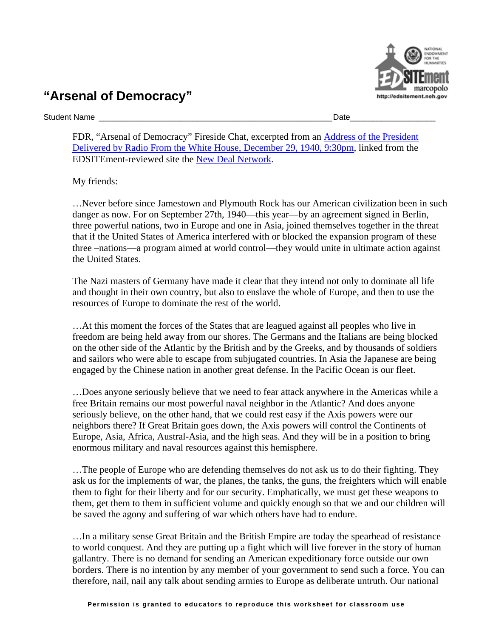## **"Arsenal of Democracy"**

Student Name \_\_\_\_\_\_\_\_\_\_\_\_\_\_\_\_\_\_\_\_\_\_\_\_\_\_\_\_\_\_\_\_\_\_\_\_\_\_\_\_\_\_\_\_\_\_\_\_\_\_\_\_Date\_\_\_\_\_\_\_\_\_\_\_\_\_\_\_\_\_\_\_

FDR, "Arsenal of Democracy" Fireside Chat, excerpted from an [Address of the President](http://www.mhrcc.org/fdr/chat16.html)  [Delivered by Radio From the White House, December 29, 1940, 9:30pm,](http://www.mhrcc.org/fdr/chat16.html) linked from the EDSITEment-reviewed site the [New Deal Network.](http://newdeal.feri.org)

My friends:

…Never before since Jamestown and Plymouth Rock has our American civilization been in such danger as now. For on September 27th, 1940—this year—by an agreement signed in Berlin, three powerful nations, two in Europe and one in Asia, joined themselves together in the threat that if the United States of America interfered with or blocked the expansion program of these three –nations—a program aimed at world control—they would unite in ultimate action against the United States.

The Nazi masters of Germany have made it clear that they intend not only to dominate all life and thought in their own country, but also to enslave the whole of Europe, and then to use the resources of Europe to dominate the rest of the world.

…At this moment the forces of the States that are leagued against all peoples who live in freedom are being held away from our shores. The Germans and the Italians are being blocked on the other side of the Atlantic by the British and by the Greeks, and by thousands of soldiers and sailors who were able to escape from subjugated countries. In Asia the Japanese are being engaged by the Chinese nation in another great defense. In the Pacific Ocean is our fleet.

…Does anyone seriously believe that we need to fear attack anywhere in the Americas while a free Britain remains our most powerful naval neighbor in the Atlantic? And does anyone seriously believe, on the other hand, that we could rest easy if the Axis powers were our neighbors there? If Great Britain goes down, the Axis powers will control the Continents of Europe, Asia, Africa, Austral-Asia, and the high seas. And they will be in a position to bring enormous military and naval resources against this hemisphere.

…The people of Europe who are defending themselves do not ask us to do their fighting. They ask us for the implements of war, the planes, the tanks, the guns, the freighters which will enable them to fight for their liberty and for our security. Emphatically, we must get these weapons to them, get them to them in sufficient volume and quickly enough so that we and our children will be saved the agony and suffering of war which others have had to endure.

…In a military sense Great Britain and the British Empire are today the spearhead of resistance to world conquest. And they are putting up a fight which will live forever in the story of human gallantry. There is no demand for sending an American expeditionary force outside our own borders. There is no intention by any member of your government to send such a force. You can therefore, nail, nail any talk about sending armies to Europe as deliberate untruth. Our national